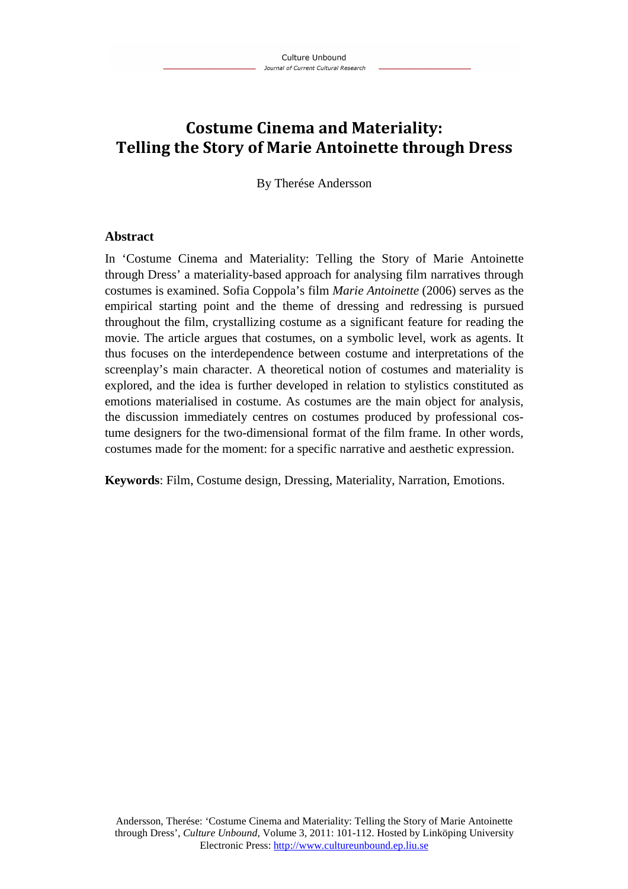# **Costume Cinema and Materiality: Telling the Story of Marie Antoinette through Dress**

By Therése Andersson

### **Abstract**

In 'Costume Cinema and Materiality: Telling the Story of Marie Antoinette through Dress' a materiality-based approach for analysing film narratives through costumes is examined. Sofia Coppola's film *Marie Antoinette* (2006) serves as the empirical starting point and the theme of dressing and redressing is pursued throughout the film, crystallizing costume as a significant feature for reading the movie. The article argues that costumes, on a symbolic level, work as agents. It thus focuses on the interdependence between costume and interpretations of the screenplay's main character. A theoretical notion of costumes and materiality is explored, and the idea is further developed in relation to stylistics constituted as emotions materialised in costume. As costumes are the main object for analysis, the discussion immediately centres on costumes produced by professional costume designers for the two-dimensional format of the film frame. In other words, costumes made for the moment: for a specific narrative and aesthetic expression.

**Keywords**: Film, Costume design, Dressing, Materiality, Narration, Emotions.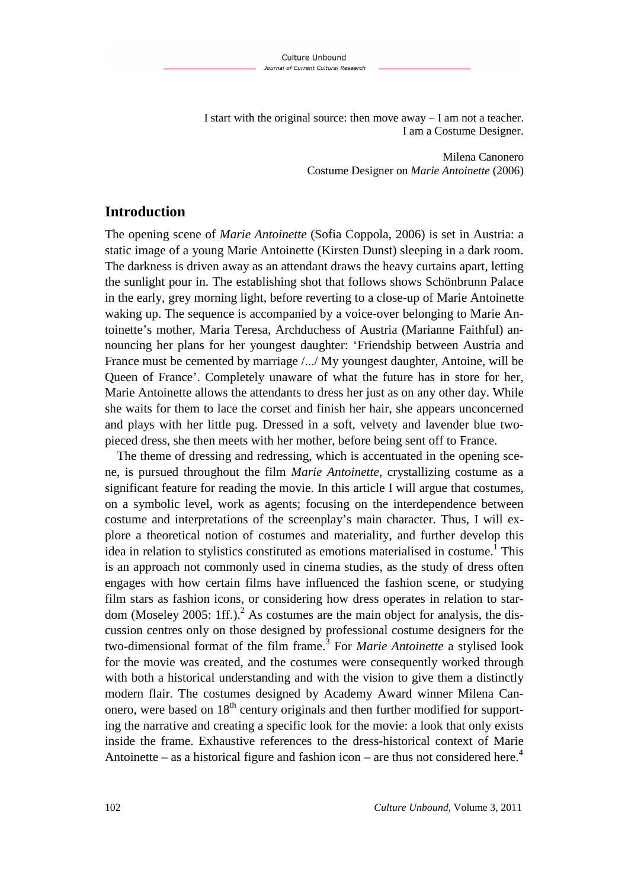I start with the original source: then move away – I am not a teacher. I am a Costume Designer.

> Milena Canonero Costume Designer on *Marie Antoinette* (2006)

## **Introduction**

The opening scene of *Marie Antoinette* (Sofia Coppola, 2006) is set in Austria: a static image of a young Marie Antoinette (Kirsten Dunst) sleeping in a dark room. The darkness is driven away as an attendant draws the heavy curtains apart, letting the sunlight pour in. The establishing shot that follows shows Schönbrunn Palace in the early, grey morning light, before reverting to a close-up of Marie Antoinette waking up. The sequence is accompanied by a voice-over belonging to Marie Antoinette's mother, Maria Teresa, Archduchess of Austria (Marianne Faithful) announcing her plans for her youngest daughter: 'Friendship between Austria and France must be cemented by marriage /.../ My youngest daughter, Antoine, will be Queen of France'. Completely unaware of what the future has in store for her, Marie Antoinette allows the attendants to dress her just as on any other day. While she waits for them to lace the corset and finish her hair, she appears unconcerned and plays with her little pug. Dressed in a soft, velvety and lavender blue twopieced dress, she then meets with her mother, before being sent off to France.

The theme of dressing and redressing, which is accentuated in the opening scene, is pursued throughout the film *Marie Antoinette*, crystallizing costume as a significant feature for reading the movie. In this article I will argue that costumes, on a symbolic level, work as agents; focusing on the interdependence between costume and interpretations of the screenplay's main character. Thus, I will explore a theoretical notion of costumes and materiality, and further develop this idea in relation to stylistics constituted as emotions materialised in costume.<sup>1</sup> This is an approach not commonly used in cinema studies, as the study of dress often engages with how certain films have influenced the fashion scene, or studying film stars as fashion icons, or considering how dress operates in relation to stardom (Moseley 2005: 1ff.).<sup>2</sup> As costumes are the main object for analysis, the discussion centres only on those designed by professional costume designers for the two-dimensional format of the film frame.<sup>3</sup> For *Marie Antoinette* a stylised look for the movie was created, and the costumes were consequently worked through with both a historical understanding and with the vision to give them a distinctly modern flair. The costumes designed by Academy Award winner Milena Canonero, were based on  $18<sup>th</sup>$  century originals and then further modified for supporting the narrative and creating a specific look for the movie: a look that only exists inside the frame. Exhaustive references to the dress-historical context of Marie Antoinette – as a historical figure and fashion icon – are thus not considered here.<sup>4</sup>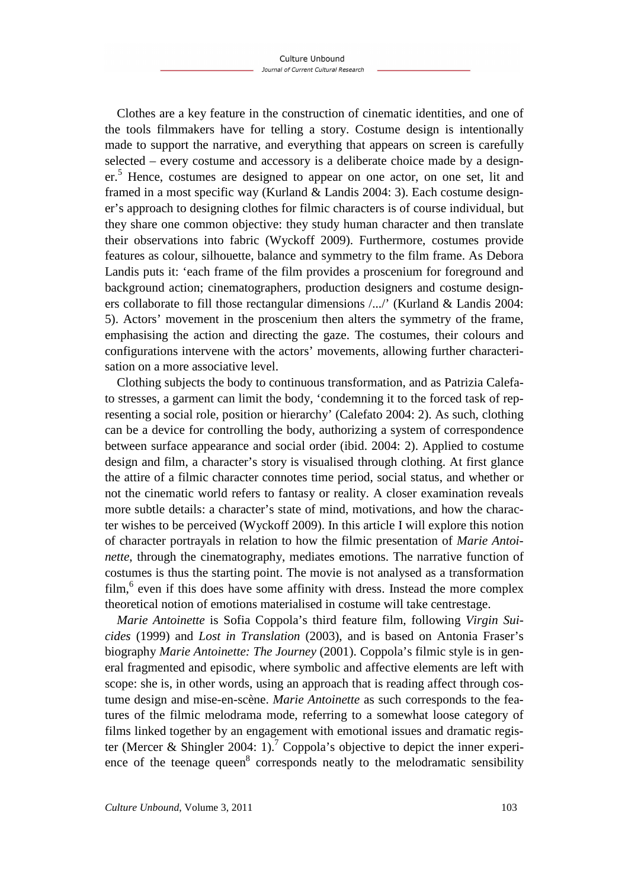Clothes are a key feature in the construction of cinematic identities, and one of the tools filmmakers have for telling a story. Costume design is intentionally made to support the narrative, and everything that appears on screen is carefully selected – every costume and accessory is a deliberate choice made by a designer.<sup>5</sup> Hence, costumes are designed to appear on one actor, on one set, lit and framed in a most specific way (Kurland & Landis 2004: 3). Each costume designer's approach to designing clothes for filmic characters is of course individual, but they share one common objective: they study human character and then translate their observations into fabric (Wyckoff 2009). Furthermore, costumes provide features as colour, silhouette, balance and symmetry to the film frame. As Debora Landis puts it: 'each frame of the film provides a proscenium for foreground and background action; cinematographers, production designers and costume designers collaborate to fill those rectangular dimensions /.../' (Kurland & Landis 2004: 5). Actors' movement in the proscenium then alters the symmetry of the frame, emphasising the action and directing the gaze. The costumes, their colours and configurations intervene with the actors' movements, allowing further characterisation on a more associative level.

Clothing subjects the body to continuous transformation, and as Patrizia Calefato stresses, a garment can limit the body, 'condemning it to the forced task of representing a social role, position or hierarchy' (Calefato 2004: 2). As such, clothing can be a device for controlling the body, authorizing a system of correspondence between surface appearance and social order (ibid. 2004: 2). Applied to costume design and film, a character's story is visualised through clothing. At first glance the attire of a filmic character connotes time period, social status, and whether or not the cinematic world refers to fantasy or reality. A closer examination reveals more subtle details: a character's state of mind, motivations, and how the character wishes to be perceived (Wyckoff 2009). In this article I will explore this notion of character portrayals in relation to how the filmic presentation of *Marie Antoinette*, through the cinematography, mediates emotions. The narrative function of costumes is thus the starting point. The movie is not analysed as a transformation film,<sup>6</sup> even if this does have some affinity with dress. Instead the more complex theoretical notion of emotions materialised in costume will take centrestage.

*Marie Antoinette* is Sofia Coppola's third feature film, following *Virgin Suicides* (1999) and *Lost in Translation* (2003), and is based on Antonia Fraser's biography *Marie Antoinette: The Journey* (2001). Coppola's filmic style is in general fragmented and episodic, where symbolic and affective elements are left with scope: she is, in other words, using an approach that is reading affect through costume design and mise-en-scène. *Marie Antoinette* as such corresponds to the features of the filmic melodrama mode, referring to a somewhat loose category of films linked together by an engagement with emotional issues and dramatic register (Mercer & Shingler 2004: 1).<sup>7</sup> Coppola's objective to depict the inner experience of the teenage queen $8$  corresponds neatly to the melodramatic sensibility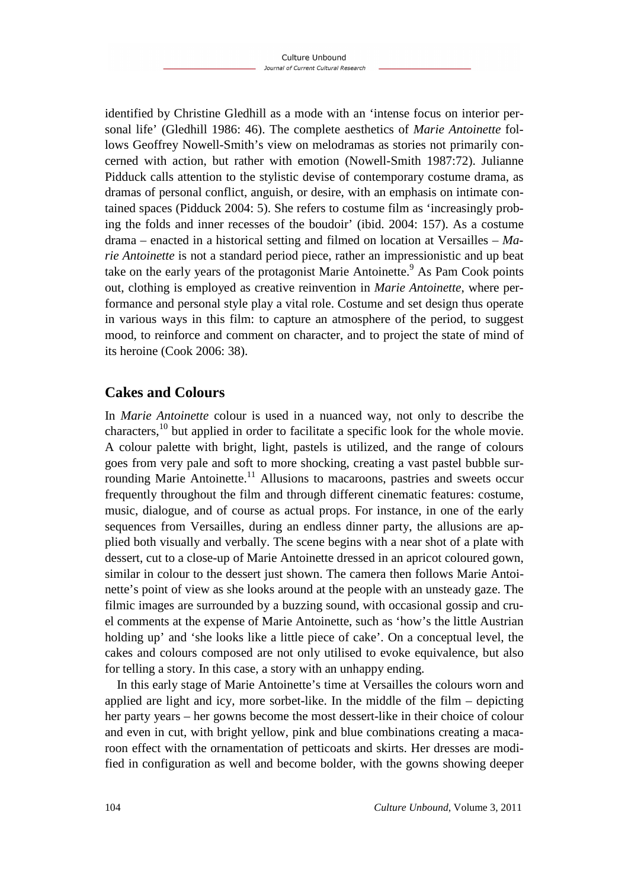identified by Christine Gledhill as a mode with an 'intense focus on interior personal life' (Gledhill 1986: 46). The complete aesthetics of *Marie Antoinette* follows Geoffrey Nowell-Smith's view on melodramas as stories not primarily concerned with action, but rather with emotion (Nowell-Smith 1987:72). Julianne Pidduck calls attention to the stylistic devise of contemporary costume drama, as dramas of personal conflict, anguish, or desire, with an emphasis on intimate contained spaces (Pidduck 2004: 5). She refers to costume film as 'increasingly probing the folds and inner recesses of the boudoir' (ibid. 2004: 157). As a costume drama – enacted in a historical setting and filmed on location at Versailles – *Marie Antoinette* is not a standard period piece, rather an impressionistic and up beat take on the early years of the protagonist Marie Antoinette.<sup>9</sup> As Pam Cook points out, clothing is employed as creative reinvention in *Marie Antoinette*, where performance and personal style play a vital role. Costume and set design thus operate in various ways in this film: to capture an atmosphere of the period, to suggest mood, to reinforce and comment on character, and to project the state of mind of its heroine (Cook 2006: 38).

# **Cakes and Colours**

In *Marie Antoinette* colour is used in a nuanced way, not only to describe the characters, $10$  but applied in order to facilitate a specific look for the whole movie. A colour palette with bright, light, pastels is utilized, and the range of colours goes from very pale and soft to more shocking, creating a vast pastel bubble surrounding Marie Antoinette.<sup>11</sup> Allusions to macaroons, pastries and sweets occur frequently throughout the film and through different cinematic features: costume, music, dialogue, and of course as actual props. For instance, in one of the early sequences from Versailles, during an endless dinner party, the allusions are applied both visually and verbally. The scene begins with a near shot of a plate with dessert, cut to a close-up of Marie Antoinette dressed in an apricot coloured gown, similar in colour to the dessert just shown. The camera then follows Marie Antoinette's point of view as she looks around at the people with an unsteady gaze. The filmic images are surrounded by a buzzing sound, with occasional gossip and cruel comments at the expense of Marie Antoinette, such as 'how's the little Austrian holding up' and 'she looks like a little piece of cake'. On a conceptual level, the cakes and colours composed are not only utilised to evoke equivalence, but also for telling a story. In this case, a story with an unhappy ending.

In this early stage of Marie Antoinette's time at Versailles the colours worn and applied are light and icy, more sorbet-like. In the middle of the film – depicting her party years – her gowns become the most dessert-like in their choice of colour and even in cut, with bright yellow, pink and blue combinations creating a macaroon effect with the ornamentation of petticoats and skirts. Her dresses are modified in configuration as well and become bolder, with the gowns showing deeper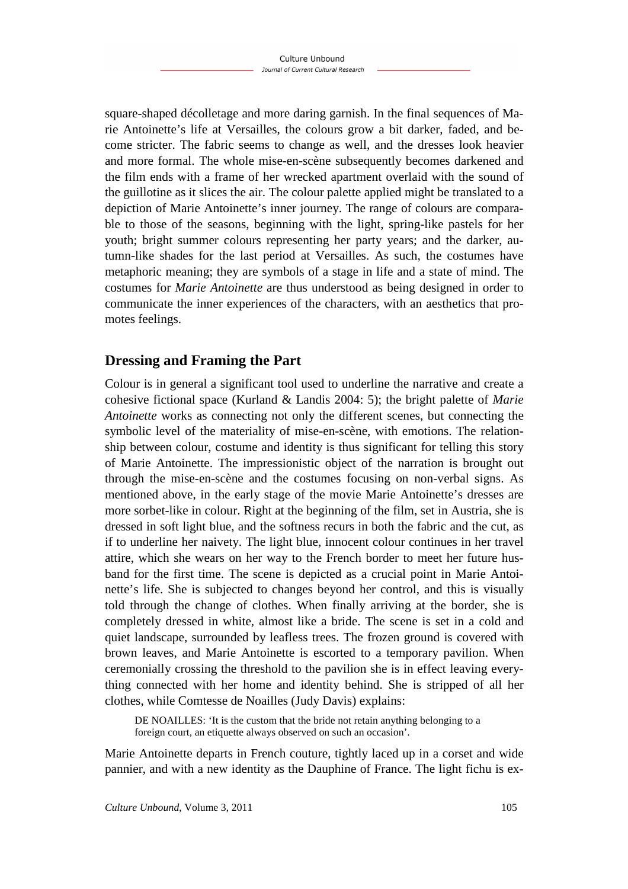square-shaped décolletage and more daring garnish. In the final sequences of Marie Antoinette's life at Versailles, the colours grow a bit darker, faded, and become stricter. The fabric seems to change as well, and the dresses look heavier and more formal. The whole mise-en-scène subsequently becomes darkened and the film ends with a frame of her wrecked apartment overlaid with the sound of the guillotine as it slices the air. The colour palette applied might be translated to a depiction of Marie Antoinette's inner journey. The range of colours are comparable to those of the seasons, beginning with the light, spring-like pastels for her youth; bright summer colours representing her party years; and the darker, autumn-like shades for the last period at Versailles. As such, the costumes have metaphoric meaning; they are symbols of a stage in life and a state of mind. The costumes for *Marie Antoinette* are thus understood as being designed in order to communicate the inner experiences of the characters, with an aesthetics that promotes feelings.

# **Dressing and Framing the Part**

Colour is in general a significant tool used to underline the narrative and create a cohesive fictional space (Kurland & Landis 2004: 5); the bright palette of *Marie Antoinette* works as connecting not only the different scenes, but connecting the symbolic level of the materiality of mise-en-scène, with emotions. The relationship between colour, costume and identity is thus significant for telling this story of Marie Antoinette. The impressionistic object of the narration is brought out through the mise-en-scène and the costumes focusing on non-verbal signs. As mentioned above, in the early stage of the movie Marie Antoinette's dresses are more sorbet-like in colour. Right at the beginning of the film, set in Austria, she is dressed in soft light blue, and the softness recurs in both the fabric and the cut, as if to underline her naivety. The light blue, innocent colour continues in her travel attire, which she wears on her way to the French border to meet her future husband for the first time. The scene is depicted as a crucial point in Marie Antoinette's life. She is subjected to changes beyond her control, and this is visually told through the change of clothes. When finally arriving at the border, she is completely dressed in white, almost like a bride. The scene is set in a cold and quiet landscape, surrounded by leafless trees. The frozen ground is covered with brown leaves, and Marie Antoinette is escorted to a temporary pavilion. When ceremonially crossing the threshold to the pavilion she is in effect leaving everything connected with her home and identity behind. She is stripped of all her clothes, while Comtesse de Noailles (Judy Davis) explains:

DE NOAILLES: 'It is the custom that the bride not retain anything belonging to a foreign court, an etiquette always observed on such an occasion'.

Marie Antoinette departs in French couture, tightly laced up in a corset and wide pannier, and with a new identity as the Dauphine of France. The light fichu is ex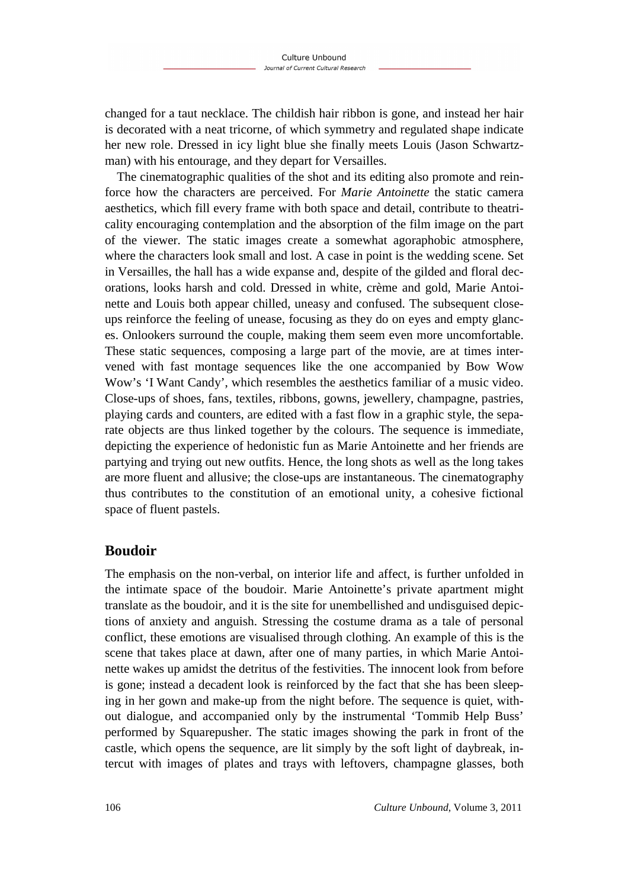changed for a taut necklace. The childish hair ribbon is gone, and instead her hair is decorated with a neat tricorne, of which symmetry and regulated shape indicate her new role. Dressed in icy light blue she finally meets Louis (Jason Schwartzman) with his entourage, and they depart for Versailles.

The cinematographic qualities of the shot and its editing also promote and reinforce how the characters are perceived. For *Marie Antoinette* the static camera aesthetics, which fill every frame with both space and detail, contribute to theatricality encouraging contemplation and the absorption of the film image on the part of the viewer. The static images create a somewhat agoraphobic atmosphere, where the characters look small and lost. A case in point is the wedding scene. Set in Versailles, the hall has a wide expanse and, despite of the gilded and floral decorations, looks harsh and cold. Dressed in white, crème and gold, Marie Antoinette and Louis both appear chilled, uneasy and confused. The subsequent closeups reinforce the feeling of unease, focusing as they do on eyes and empty glances. Onlookers surround the couple, making them seem even more uncomfortable. These static sequences, composing a large part of the movie, are at times intervened with fast montage sequences like the one accompanied by Bow Wow Wow's 'I Want Candy', which resembles the aesthetics familiar of a music video. Close-ups of shoes, fans, textiles, ribbons, gowns, jewellery, champagne, pastries, playing cards and counters, are edited with a fast flow in a graphic style, the separate objects are thus linked together by the colours. The sequence is immediate, depicting the experience of hedonistic fun as Marie Antoinette and her friends are partying and trying out new outfits. Hence, the long shots as well as the long takes are more fluent and allusive; the close-ups are instantaneous. The cinematography thus contributes to the constitution of an emotional unity, a cohesive fictional space of fluent pastels.

## **Boudoir**

The emphasis on the non-verbal, on interior life and affect, is further unfolded in the intimate space of the boudoir. Marie Antoinette's private apartment might translate as the boudoir, and it is the site for unembellished and undisguised depictions of anxiety and anguish. Stressing the costume drama as a tale of personal conflict, these emotions are visualised through clothing. An example of this is the scene that takes place at dawn, after one of many parties, in which Marie Antoinette wakes up amidst the detritus of the festivities. The innocent look from before is gone; instead a decadent look is reinforced by the fact that she has been sleeping in her gown and make-up from the night before. The sequence is quiet, without dialogue, and accompanied only by the instrumental 'Tommib Help Buss' performed by Squarepusher. The static images showing the park in front of the castle, which opens the sequence, are lit simply by the soft light of daybreak, intercut with images of plates and trays with leftovers, champagne glasses, both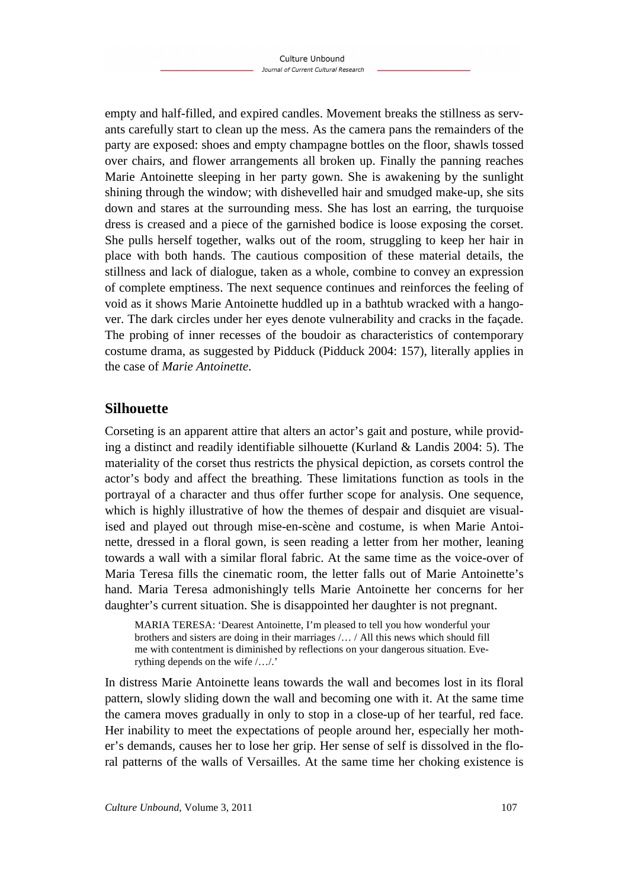empty and half-filled, and expired candles. Movement breaks the stillness as servants carefully start to clean up the mess. As the camera pans the remainders of the party are exposed: shoes and empty champagne bottles on the floor, shawls tossed over chairs, and flower arrangements all broken up. Finally the panning reaches Marie Antoinette sleeping in her party gown. She is awakening by the sunlight shining through the window; with dishevelled hair and smudged make-up, she sits down and stares at the surrounding mess. She has lost an earring, the turquoise dress is creased and a piece of the garnished bodice is loose exposing the corset. She pulls herself together, walks out of the room, struggling to keep her hair in place with both hands. The cautious composition of these material details, the stillness and lack of dialogue, taken as a whole, combine to convey an expression of complete emptiness. The next sequence continues and reinforces the feeling of void as it shows Marie Antoinette huddled up in a bathtub wracked with a hangover. The dark circles under her eyes denote vulnerability and cracks in the façade. The probing of inner recesses of the boudoir as characteristics of contemporary costume drama, as suggested by Pidduck (Pidduck 2004: 157), literally applies in the case of *Marie Antoinette*.

# **Silhouette**

Corseting is an apparent attire that alters an actor's gait and posture, while providing a distinct and readily identifiable silhouette (Kurland & Landis 2004: 5). The materiality of the corset thus restricts the physical depiction, as corsets control the actor's body and affect the breathing. These limitations function as tools in the portrayal of a character and thus offer further scope for analysis. One sequence, which is highly illustrative of how the themes of despair and disquiet are visualised and played out through mise-en-scène and costume, is when Marie Antoinette, dressed in a floral gown, is seen reading a letter from her mother, leaning towards a wall with a similar floral fabric. At the same time as the voice-over of Maria Teresa fills the cinematic room, the letter falls out of Marie Antoinette's hand. Maria Teresa admonishingly tells Marie Antoinette her concerns for her daughter's current situation. She is disappointed her daughter is not pregnant.

MARIA TERESA: 'Dearest Antoinette, I'm pleased to tell you how wonderful your brothers and sisters are doing in their marriages /… / All this news which should fill me with contentment is diminished by reflections on your dangerous situation. Everything depends on the wife /…/.'

In distress Marie Antoinette leans towards the wall and becomes lost in its floral pattern, slowly sliding down the wall and becoming one with it. At the same time the camera moves gradually in only to stop in a close-up of her tearful, red face. Her inability to meet the expectations of people around her, especially her mother's demands, causes her to lose her grip. Her sense of self is dissolved in the floral patterns of the walls of Versailles. At the same time her choking existence is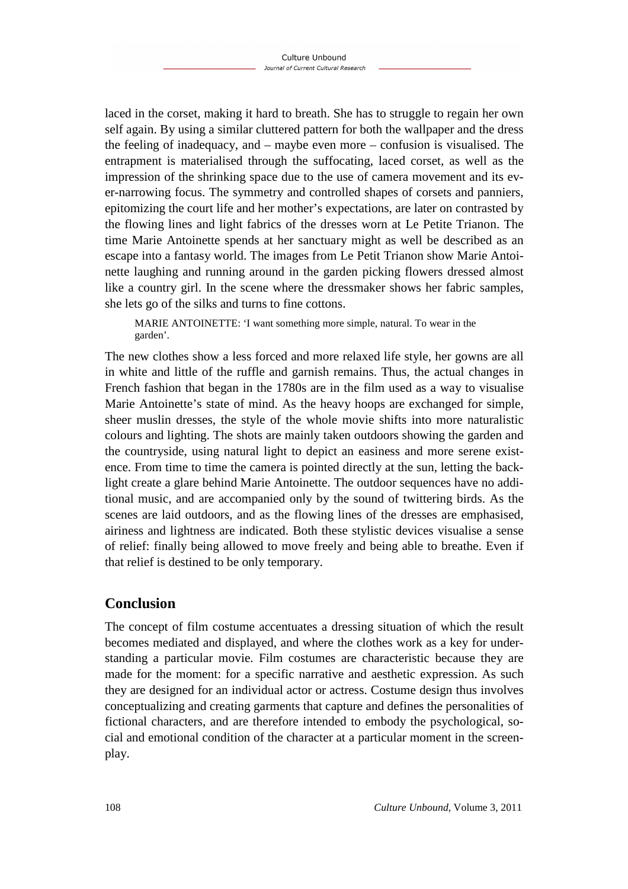laced in the corset, making it hard to breath. She has to struggle to regain her own self again. By using a similar cluttered pattern for both the wallpaper and the dress the feeling of inadequacy, and – maybe even more – confusion is visualised. The entrapment is materialised through the suffocating, laced corset, as well as the impression of the shrinking space due to the use of camera movement and its ever-narrowing focus. The symmetry and controlled shapes of corsets and panniers, epitomizing the court life and her mother's expectations, are later on contrasted by the flowing lines and light fabrics of the dresses worn at Le Petite Trianon. The time Marie Antoinette spends at her sanctuary might as well be described as an escape into a fantasy world. The images from Le Petit Trianon show Marie Antoinette laughing and running around in the garden picking flowers dressed almost like a country girl. In the scene where the dressmaker shows her fabric samples, she lets go of the silks and turns to fine cottons.

MARIE ANTOINETTE: 'I want something more simple, natural. To wear in the garden'.

The new clothes show a less forced and more relaxed life style, her gowns are all in white and little of the ruffle and garnish remains. Thus, the actual changes in French fashion that began in the 1780s are in the film used as a way to visualise Marie Antoinette's state of mind. As the heavy hoops are exchanged for simple, sheer muslin dresses, the style of the whole movie shifts into more naturalistic colours and lighting. The shots are mainly taken outdoors showing the garden and the countryside, using natural light to depict an easiness and more serene existence. From time to time the camera is pointed directly at the sun, letting the backlight create a glare behind Marie Antoinette. The outdoor sequences have no additional music, and are accompanied only by the sound of twittering birds. As the scenes are laid outdoors, and as the flowing lines of the dresses are emphasised, airiness and lightness are indicated. Both these stylistic devices visualise a sense of relief: finally being allowed to move freely and being able to breathe. Even if that relief is destined to be only temporary.

# **Conclusion**

The concept of film costume accentuates a dressing situation of which the result becomes mediated and displayed, and where the clothes work as a key for understanding a particular movie. Film costumes are characteristic because they are made for the moment: for a specific narrative and aesthetic expression. As such they are designed for an individual actor or actress. Costume design thus involves conceptualizing and creating garments that capture and defines the personalities of fictional characters, and are therefore intended to embody the psychological, social and emotional condition of the character at a particular moment in the screenplay.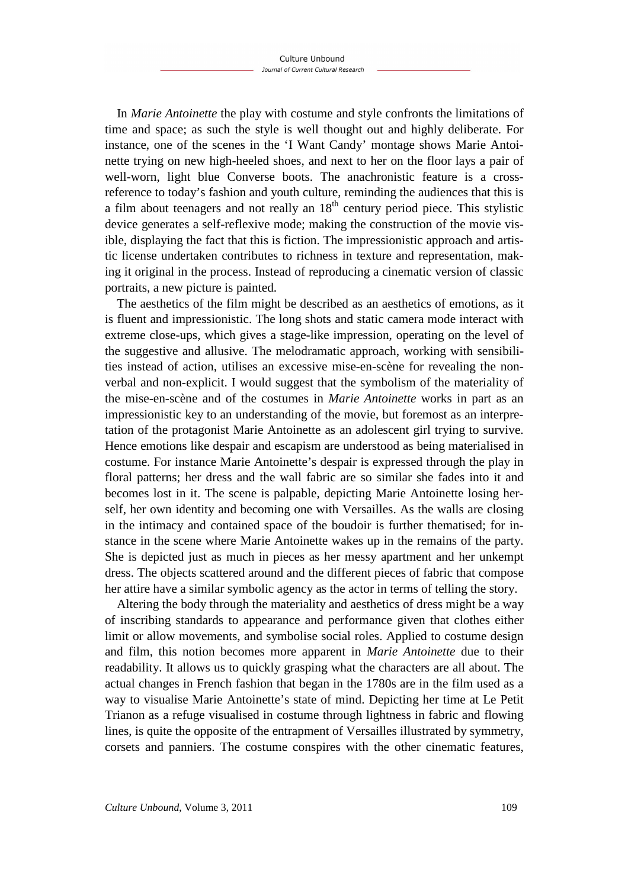In *Marie Antoinette* the play with costume and style confronts the limitations of time and space; as such the style is well thought out and highly deliberate. For instance, one of the scenes in the 'I Want Candy' montage shows Marie Antoinette trying on new high-heeled shoes, and next to her on the floor lays a pair of well-worn, light blue Converse boots. The anachronistic feature is a crossreference to today's fashion and youth culture, reminding the audiences that this is a film about teenagers and not really an  $18<sup>th</sup>$  century period piece. This stylistic device generates a self-reflexive mode; making the construction of the movie visible, displaying the fact that this is fiction. The impressionistic approach and artistic license undertaken contributes to richness in texture and representation, making it original in the process. Instead of reproducing a cinematic version of classic portraits, a new picture is painted.

The aesthetics of the film might be described as an aesthetics of emotions, as it is fluent and impressionistic. The long shots and static camera mode interact with extreme close-ups, which gives a stage-like impression, operating on the level of the suggestive and allusive. The melodramatic approach, working with sensibilities instead of action, utilises an excessive mise-en-scène for revealing the nonverbal and non-explicit. I would suggest that the symbolism of the materiality of the mise-en-scène and of the costumes in *Marie Antoinette* works in part as an impressionistic key to an understanding of the movie, but foremost as an interpretation of the protagonist Marie Antoinette as an adolescent girl trying to survive. Hence emotions like despair and escapism are understood as being materialised in costume. For instance Marie Antoinette's despair is expressed through the play in floral patterns; her dress and the wall fabric are so similar she fades into it and becomes lost in it. The scene is palpable, depicting Marie Antoinette losing herself, her own identity and becoming one with Versailles. As the walls are closing in the intimacy and contained space of the boudoir is further thematised; for instance in the scene where Marie Antoinette wakes up in the remains of the party. She is depicted just as much in pieces as her messy apartment and her unkempt dress. The objects scattered around and the different pieces of fabric that compose her attire have a similar symbolic agency as the actor in terms of telling the story.

Altering the body through the materiality and aesthetics of dress might be a way of inscribing standards to appearance and performance given that clothes either limit or allow movements, and symbolise social roles. Applied to costume design and film, this notion becomes more apparent in *Marie Antoinette* due to their readability. It allows us to quickly grasping what the characters are all about. The actual changes in French fashion that began in the 1780s are in the film used as a way to visualise Marie Antoinette's state of mind. Depicting her time at Le Petit Trianon as a refuge visualised in costume through lightness in fabric and flowing lines, is quite the opposite of the entrapment of Versailles illustrated by symmetry, corsets and panniers. The costume conspires with the other cinematic features,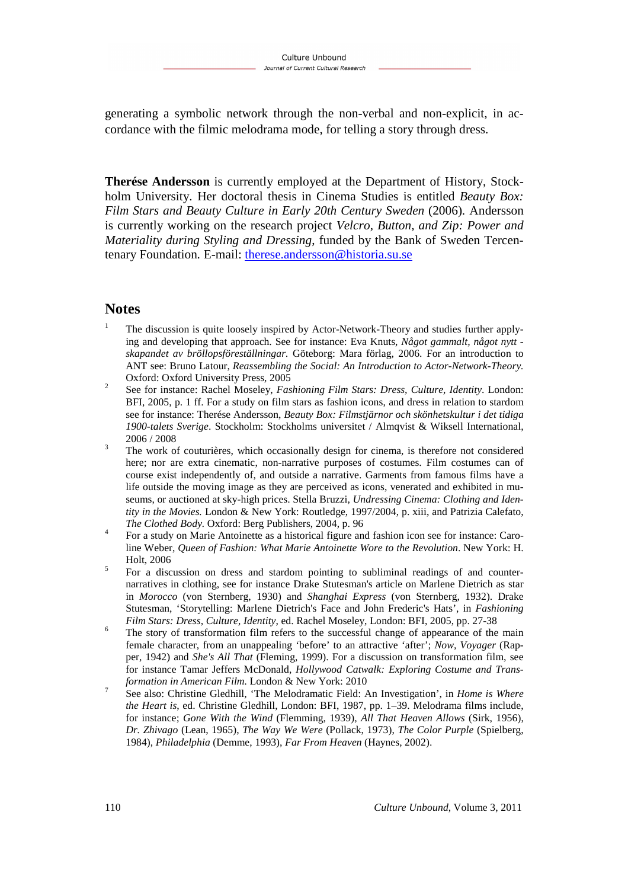generating a symbolic network through the non-verbal and non-explicit, in accordance with the filmic melodrama mode, for telling a story through dress.

**Therése Andersson** is currently employed at the Department of History, Stockholm University. Her doctoral thesis in Cinema Studies is entitled *Beauty Box: Film Stars and Beauty Culture in Early 20th Century Sweden* (2006)*.* Andersson is currently working on the research project *Velcro, Button, and Zip: Power and Materiality during Styling and Dressing*, funded by the Bank of Sweden Tercentenary Foundation. E-mail: therese.andersson@historia.su.se

### **Notes**

- 1 The discussion is quite loosely inspired by Actor-Network-Theory and studies further applying and developing that approach. See for instance: Eva Knuts, *Något gammalt, något nytt skapandet av bröllopsföreställningar.* Göteborg: Mara förlag, 2006. For an introduction to ANT see: Bruno Latour, *Reassembling the Social: An Introduction to Actor-Network-Theory.*  Oxford: Oxford University Press, 2005
- 2 See for instance: Rachel Moseley, *Fashioning Film Stars: Dress, Culture, Identity*. London: BFI, 2005, p. 1 ff. For a study on film stars as fashion icons, and dress in relation to stardom see for instance: Therése Andersson, *Beauty Box: Filmstjärnor och skönhetskultur i det tidiga 1900-talets Sverige*. Stockholm: Stockholms universitet / Almqvist & Wiksell International, 2006 / 2008
- 3 The work of couturières, which occasionally design for cinema, is therefore not considered here; nor are extra cinematic, non-narrative purposes of costumes. Film costumes can of course exist independently of, and outside a narrative. Garments from famous films have a life outside the moving image as they are perceived as icons, venerated and exhibited in museums, or auctioned at sky-high prices. Stella Bruzzi, *Undressing Cinema: Clothing and Identity in the Movies.* London & New York: Routledge, 1997/2004, p. xiii, and Patrizia Calefato, *The Clothed Body.* Oxford: Berg Publishers, 2004, p. 96
- 4 For a study on Marie Antoinette as a historical figure and fashion icon see for instance: Caroline Weber, *Queen of Fashion: What Marie Antoinette Wore to the Revolution*. New York: H. Holt, 2006
- 5 For a discussion on dress and stardom pointing to subliminal readings of and counternarratives in clothing, see for instance Drake Stutesman's article on Marlene Dietrich as star in *Morocco* (von Sternberg, 1930) and *Shanghai Express* (von Sternberg, 1932). Drake Stutesman, 'Storytelling: Marlene Dietrich's Face and John Frederic's Hats', in *Fashioning Film Stars: Dress, Culture, Identity*, ed. Rachel Moseley, London: BFI, 2005, pp. 27-38
- 6 The story of transformation film refers to the successful change of appearance of the main female character, from an unappealing 'before' to an attractive 'after'; *Now, Voyager* (Rapper, 1942) and *She's All That* (Fleming, 1999). For a discussion on transformation film, see for instance Tamar Jeffers McDonald, *Hollywood Catwalk: Exploring Costume and Transformation in American Film.* London & New York: 2010
- 7 See also: Christine Gledhill, 'The Melodramatic Field: An Investigation', in *Home is Where the Heart is*, ed. Christine Gledhill, London: BFI, 1987, pp. 1–39. Melodrama films include, for instance; *Gone With the Wind* (Flemming, 1939), *All That Heaven Allows* (Sirk, 1956), *Dr. Zhivago* (Lean, 1965), *The Way We Were* (Pollack, 1973), *The Color Purple* (Spielberg, 1984), *Philadelphia* (Demme, 1993), *Far From Heaven* (Haynes, 2002).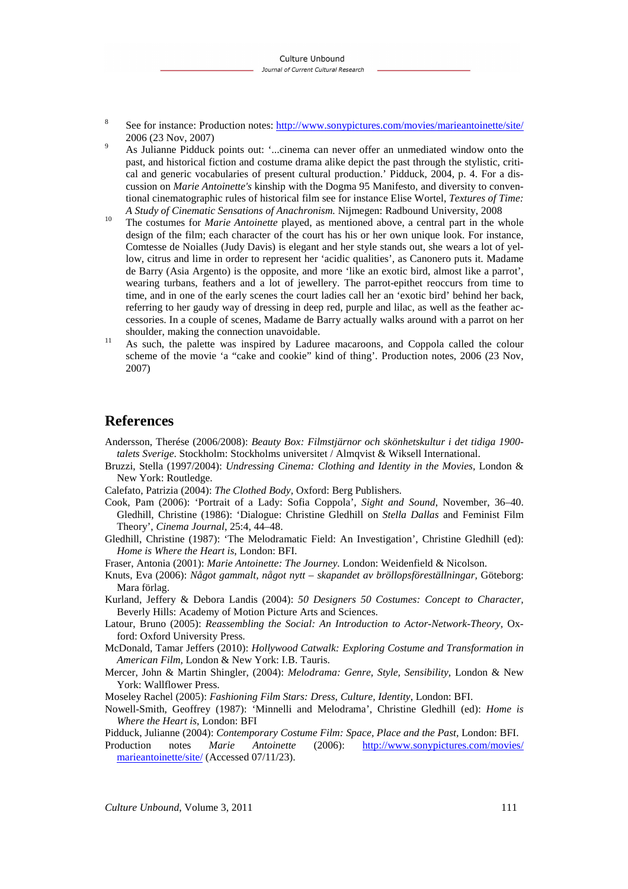8 See for instance: Production notes: http://www.sonypictures.com/movies/marieantoinette/site/ 2006 (23 Nov, 2007)

9 As Julianne Pidduck points out: '...cinema can never offer an unmediated window onto the past, and historical fiction and costume drama alike depict the past through the stylistic, critical and generic vocabularies of present cultural production.' Pidduck, 2004, p. 4. For a discussion on *Marie Antoinette's* kinship with the Dogma 95 Manifesto, and diversity to conventional cinematographic rules of historical film see for instance Elise Wortel, *Textures of Time: A Study of Cinematic Sensations of Anachronism.* Nijmegen: Radbound University, 2008

<sup>10</sup> The costumes for *Marie Antoinette* played, as mentioned above, a central part in the whole design of the film; each character of the court has his or her own unique look. For instance, Comtesse de Noialles (Judy Davis) is elegant and her style stands out, she wears a lot of yellow, citrus and lime in order to represent her 'acidic qualities', as Canonero puts it. Madame de Barry (Asia Argento) is the opposite, and more 'like an exotic bird, almost like a parrot', wearing turbans, feathers and a lot of jewellery. The parrot-epithet reoccurs from time to time, and in one of the early scenes the court ladies call her an 'exotic bird' behind her back, referring to her gaudy way of dressing in deep red, purple and lilac, as well as the feather accessories. In a couple of scenes, Madame de Barry actually walks around with a parrot on her shoulder, making the connection unavoidable.

<sup>11</sup> As such, the palette was inspired by Laduree macaroons, and Coppola called the colour scheme of the movie 'a "cake and cookie" kind of thing'. Production notes, 2006 (23 Nov, 2007)

### **References**

Andersson, Therése (2006/2008): *Beauty Box: Filmstjärnor och skönhetskultur i det tidiga 1900 talets Sverige*. Stockholm: Stockholms universitet / Almqvist & Wiksell International.

- Bruzzi, Stella (1997/2004): *Undressing Cinema: Clothing and Identity in the Movies,* London & New York: Routledge.
- Calefato, Patrizia (2004): *The Clothed Body,* Oxford: Berg Publishers.
- Cook, Pam (2006): 'Portrait of a Lady: Sofia Coppola', *Sight and Sound*, November, 36–40. Gledhill, Christine (1986): 'Dialogue: Christine Gledhill on *Stella Dallas* and Feminist Film Theory', *Cinema Journal*, 25:4, 44–48.
- Gledhill, Christine (1987): 'The Melodramatic Field: An Investigation', Christine Gledhill (ed): *Home is Where the Heart is*, London: BFI.

Fraser, Antonia (2001): *Marie Antoinette: The Journey.* London: Weidenfield & Nicolson.

- Knuts, Eva (2006): *Något gammalt, något nytt skapandet av bröllopsföreställningar,* Göteborg: Mara förlag.
- Kurland, Jeffery & Debora Landis (2004): *50 Designers 50 Costumes: Concept to Character,*  Beverly Hills: Academy of Motion Picture Arts and Sciences.
- Latour, Bruno (2005): *Reassembling the Social: An Introduction to Actor-Network-Theory,* Oxford: Oxford University Press.
- McDonald, Tamar Jeffers (2010): *Hollywood Catwalk: Exploring Costume and Transformation in American Film,* London & New York: I.B. Tauris.
- Mercer, John & Martin Shingler, (2004): *Melodrama: Genre, Style, Sensibility,* London & New York: Wallflower Press.

Moseley Rachel (2005): *Fashioning Film Stars: Dress, Culture, Identity*, London: BFI.

Nowell-Smith, Geoffrey (1987): 'Minnelli and Melodrama', Christine Gledhill (ed): *Home is Where the Heart is*, London: BFI

Pidduck, Julianne (2004): *Contemporary Costume Film: Space, Place and the Past,* London: BFI.

Production notes *Marie Antoinette* (2006): http://www.sonypictures.com/movies/ marieantoinette/site/ (Accessed 07/11/23).